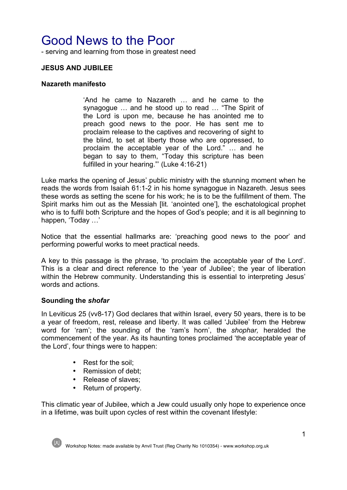# Good News to the Poor

- serving and learning from those in greatest need

## **JESUS AND JUBILEE**

#### **Nazareth manifesto**

'And he came to Nazareth … and he came to the synagogue … and he stood up to read … "The Spirit of the Lord is upon me, because he has anointed me to preach good news to the poor. He has sent me to proclaim release to the captives and recovering of sight to the blind, to set at liberty those who are oppressed, to proclaim the acceptable year of the Lord." … and he began to say to them, "Today this scripture has been fulfilled in your hearing."' (Luke 4:16-21)

Luke marks the opening of Jesus' public ministry with the stunning moment when he reads the words from Isaiah 61:1-2 in his home synagogue in Nazareth. Jesus sees these words as setting the scene for his work; he is to be the fulfillment of them. The Spirit marks him out as the Messiah [lit. 'anointed one'], the eschatological prophet who is to fulfil both Scripture and the hopes of God's people; and it is all beginning to happen, 'Today …'

Notice that the essential hallmarks are: 'preaching good news to the poor' and performing powerful works to meet practical needs.

A key to this passage is the phrase, 'to proclaim the acceptable year of the Lord'. This is a clear and direct reference to the 'year of Jubilee'; the year of liberation within the Hebrew community. Understanding this is essential to interpreting Jesus' words and actions.

#### **Sounding the** *shofar*

In Leviticus 25 (vv8-17) God declares that within Israel, every 50 years, there is to be a year of freedom, rest, release and liberty. It was called 'Jubilee' from the Hebrew word for 'ram'; the sounding of the 'ram's horn', the *shophar,* heralded the commencement of the year. As its haunting tones proclaimed 'the acceptable year of the Lord', four things were to happen:

- Rest for the soil;
- Remission of debt:
- Release of slaves;
- Return of property.

This climatic year of Jubilee, which a Jew could usually only hope to experience once in a lifetime, was built upon cycles of rest within the covenant lifestyle:

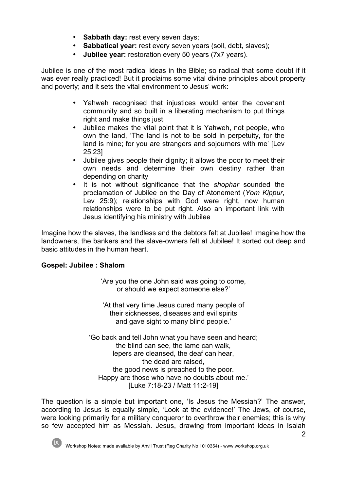- **Sabbath day:** rest every seven days;
- **Sabbatical year:** rest every seven years (soil, debt, slaves);
- **Jubilee year:** restoration every 50 years (7x7 years).

Jubilee is one of the most radical ideas in the Bible; so radical that some doubt if it was ever really practiced! But it proclaims some vital divine principles about property and poverty; and it sets the vital environment to Jesus' work:

- Yahweh recognised that injustices would enter the covenant community and so built in a liberating mechanism to put things right and make things just
- Jubilee makes the vital point that it is Yahweh, not people, who own the land, 'The land is not to be sold in perpetuity, for the land is mine; for you are strangers and sojourners with me' [Lev 25:23]
- Jubilee gives people their dignity; it allows the poor to meet their own needs and determine their own destiny rather than depending on charity
- It is not without significance that the *shophar* sounded the proclamation of Jubilee on the Day of Atonement (*Yom Kippur*, Ley 25:9); relationships with God were right, now human relationships were to be put right. Also an important link with Jesus identifying his ministry with Jubilee

Imagine how the slaves, the landless and the debtors felt at Jubilee! Imagine how the landowners, the bankers and the slave-owners felt at Jubilee! It sorted out deep and basic attitudes in the human heart.

## **Gospel: Jubilee : Shalom**

'Are you the one John said was going to come, or should we expect someone else?'

'At that very time Jesus cured many people of their sicknesses, diseases and evil spirits and gave sight to many blind people.'

'Go back and tell John what you have seen and heard; the blind can see, the lame can walk, lepers are cleansed, the deaf can hear, the dead are raised, the good news is preached to the poor. Happy are those who have no doubts about me.' [Luke 7:18-23 / Matt 11:2-19]

The question is a simple but important one, 'Is Jesus the Messiah?' The answer, according to Jesus is equally simple, 'Look at the evidence!' The Jews, of course, were looking primarily for a military conqueror to overthrow their enemies; this is why so few accepted him as Messiah. Jesus, drawing from important ideas in Isaiah

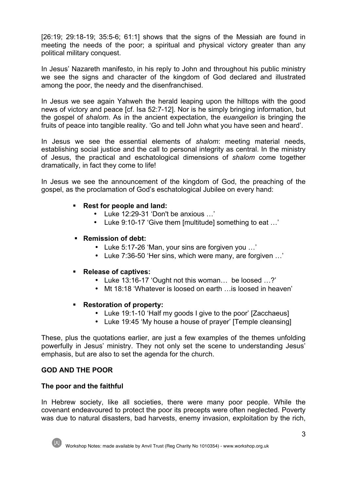$[26:19: 29:18-19: 35:5-6: 61:1]$  shows that the signs of the Messiah are found in meeting the needs of the poor; a spiritual and physical victory greater than any political military conquest.

In Jesus' Nazareth manifesto, in his reply to John and throughout his public ministry we see the signs and character of the kingdom of God declared and illustrated among the poor, the needy and the disenfranchised.

In Jesus we see again Yahweh the herald leaping upon the hilltops with the good news of victory and peace [cf. Isa 52:7-12]. Nor is he simply bringing information, but the gospel of *shalom*. As in the ancient expectation, the *euangelion* is bringing the fruits of peace into tangible reality. 'Go and tell John what you have seen and heard'.

In Jesus we see the essential elements of *shalom*: meeting material needs, establishing social justice and the call to personal integrity as central. In the ministry of Jesus, the practical and eschatological dimensions of *shalom* come together dramatically, in fact they come to life!

In Jesus we see the announcement of the kingdom of God, the preaching of the gospel, as the proclamation of God's eschatological Jubilee on every hand:

## § **Rest for people and land:**

- Luke 12:29-31 'Don't be anxious …'
- Luke 9:10-17 'Give them [multitude] something to eat …'
- § **Remission of debt:**
	- Luke 5:17-26 'Man, your sins are forgiven you …'
	- Luke 7:36-50 'Her sins, which were many, are forgiven …'

#### § **Release of captives:**

- Luke 13:16-17 'Ought not this woman… be loosed …?'
- Mt 18:18 'Whatever is loosed on earth ... is loosed in heaven'

#### § **Restoration of property:**

- Luke 19:1-10 'Half my goods I give to the poor' [Zacchaeus]
- Luke 19:45 'My house a house of prayer' ITemple cleansing 1

These, plus the quotations earlier, are just a few examples of the themes unfolding powerfully in Jesus' ministry. They not only set the scene to understanding Jesus' emphasis, but are also to set the agenda for the church.

## **GOD AND THE POOR**

#### **The poor and the faithful**

In Hebrew society, like all societies, there were many poor people. While the covenant endeavoured to protect the poor its precepts were often neglected. Poverty was due to natural disasters, bad harvests, enemy invasion, exploitation by the rich,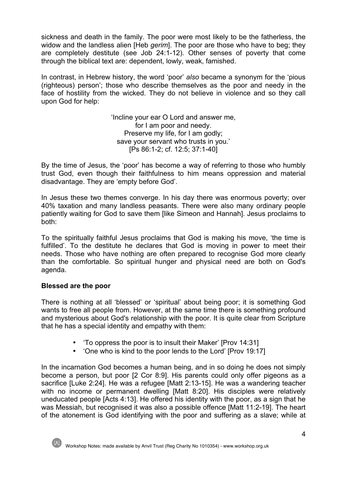sickness and death in the family. The poor were most likely to be the fatherless, the widow and the landless alien [Heb *gerim*]. The poor are those who have to beg; they are completely destitute (see Job 24:1-12). Other senses of poverty that come through the biblical text are: dependent, lowly, weak, famished.

In contrast, in Hebrew history, the word 'poor' *also* became a synonym for the 'pious (righteous) person'; those who describe themselves as the poor and needy in the face of hostility from the wicked. They do not believe in violence and so they call upon God for help:

> 'Incline your ear O Lord and answer me, for I am poor and needy. Preserve my life, for I am godly; save your servant who trusts in you.' [Ps 86:1-2; cf. 12:5; 37:1-40]

By the time of Jesus, the 'poor' has become a way of referring to those who humbly trust God, even though their faithfulness to him means oppression and material disadvantage. They are 'empty before God'.

In Jesus these two themes converge. In his day there was enormous poverty; over 40% taxation and many landless peasants. There were also many ordinary people patiently waiting for God to save them [like Simeon and Hannah]. Jesus proclaims to both:

To the spiritually faithful Jesus proclaims that God is making his move, 'the time is fulfilled'. To the destitute he declares that God is moving in power to meet their needs. Those who have nothing are often prepared to recognise God more clearly than the comfortable. So spiritual hunger and physical need are both on God's agenda.

## **Blessed are the poor**

There is nothing at all 'blessed' or 'spiritual' about being poor; it is something God wants to free all people from. However, at the same time there is something profound and mysterious about God's relationship with the poor. It is quite clear from Scripture that he has a special identity and empathy with them:

- 'To oppress the poor is to insult their Maker' [Prov 14:31]
- 'One who is kind to the poor lends to the Lord' [Prov 19:17]

In the incarnation God becomes a human being, and in so doing he does not simply become a person, but poor [2 Cor 8:9]. His parents could only offer pigeons as a sacrifice [Luke 2:24]. He was a refugee [Matt 2:13-15]. He was a wandering teacher with no income or permanent dwelling [Matt 8:20]. His disciples were relatively uneducated people [Acts 4:13]. He offered his identity with the poor, as a sign that he was Messiah, but recognised it was also a possible offence [Matt 11:2-19]. The heart of the atonement is God identifying with the poor and suffering as a slave; while at

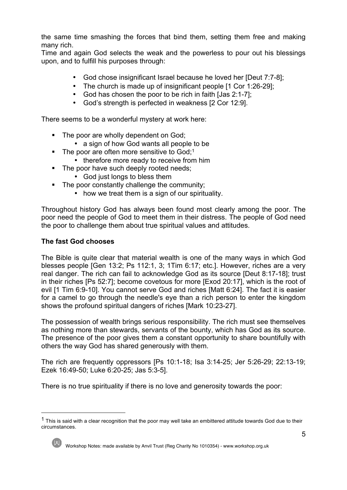the same time smashing the forces that bind them, setting them free and making many rich.

Time and again God selects the weak and the powerless to pour out his blessings upon, and to fulfill his purposes through:

- God chose insignificant Israel because he loved her [Deut 7:7-8];
- The church is made up of insignificant people [1 Cor 1:26-29];
- God has chosen the poor to be rich in faith [Jas 2:1-7];
- God's strength is perfected in weakness [2 Cor 12:9].

There seems to be a wonderful mystery at work here:

- The poor are wholly dependent on God;
	- a sign of how God wants all people to be
- $\blacksquare$  The poor are often more sensitive to God;<sup>1</sup>
	- therefore more ready to receive from him
- The poor have such deeply rooted needs;
	- God just longs to bless them
- The poor constantly challenge the community;
	- how we treat them is a sign of our spirituality.

Throughout history God has always been found most clearly among the poor. The poor need the people of God to meet them in their distress. The people of God need the poor to challenge them about true spiritual values and attitudes.

## **The fast God chooses**

The Bible is quite clear that material wealth is one of the many ways in which God blesses people [Gen 13:2; Ps 112:1, 3; 1Tim 6:17; etc.]. However, riches are a very real danger. The rich can fail to acknowledge God as its source [Deut 8:17-18]; trust in their riches [Ps 52:7]; become covetous for more [Exod 20:17], which is the root of evil [1 Tim 6:9-10]. You cannot serve God and riches [Matt 6:24]. The fact it is easier for a camel to go through the needle's eye than a rich person to enter the kingdom shows the profound spiritual dangers of riches [Mark 10:23-27].

The possession of wealth brings serious responsibility. The rich must see themselves as nothing more than stewards, servants of the bounty, which has God as its source. The presence of the poor gives them a constant opportunity to share bountifully with others the way God has shared generously with them.

The rich are frequently oppressors [Ps 10:1-18; Isa 3:14-25; Jer 5:26-29; 22:13-19; Ezek 16:49-50; Luke 6:20-25; Jas 5:3-5].

There is no true spirituality if there is no love and generosity towards the poor:

<sup>&</sup>lt;sup>1</sup> This is said with a clear recognition that the poor may well take an embittered attitude towards God due to their circumstances.

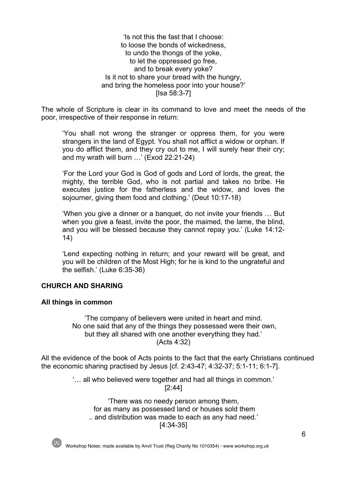'Is not this the fast that I choose: to loose the bonds of wickedness, to undo the thongs of the yoke, to let the oppressed go free, and to break every yoke? Is it not to share your bread with the hungry, and bring the homeless poor into your house?' [Isa 58:3-7]

The whole of Scripture is clear in its command to love and meet the needs of the poor, irrespective of their response in return:

'You shall not wrong the stranger or oppress them, for you were strangers in the land of Egypt. You shall not afflict a widow or orphan. If you do afflict them, and they cry out to me, I will surely hear their cry; and my wrath will burn …' (Exod 22:21-24)

'For the Lord your God is God of gods and Lord of lords, the great, the mighty, the terrible God, who is not partial and takes no bribe. He executes justice for the fatherless and the widow, and loves the sojourner, giving them food and clothing.' (Deut 10:17-18)

'When you give a dinner or a banquet, do not invite your friends … But when you give a feast, invite the poor, the maimed, the lame, the blind, and you will be blessed because they cannot repay you.' (Luke 14:12- 14)

'Lend expecting nothing in return; and your reward will be great, and you will be children of the Most High; for he is kind to the ungrateful and the selfish.' (Luke 6:35-36)

#### **CHURCH AND SHARING**

#### **All things in common**

'The company of believers were united in heart and mind. No one said that any of the things they possessed were their own, but they all shared with one another everything they had.' (Acts 4:32)

All the evidence of the book of Acts points to the fact that the early Christians continued the economic sharing practised by Jesus [cf. 2:43-47; 4:32-37; 5:1-11; 6:1-7].

> '… all who believed were together and had all things in common.' [2:44]

'There was no needy person among them, for as many as possessed land or houses sold them .. and distribution was made to each as any had need.' [4:34-35]

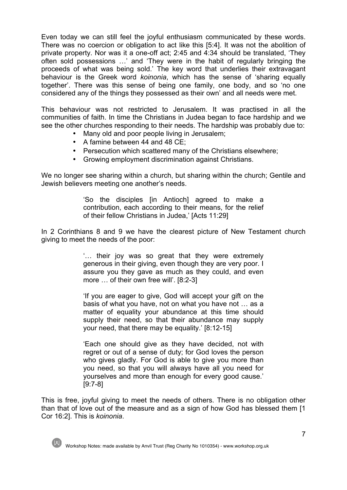Even today we can still feel the joyful enthusiasm communicated by these words. There was no coercion or obligation to act like this [5:4]. It was not the abolition of private property. Nor was it a one-off act; 2:45 and 4:34 should be translated, 'They often sold possessions …' and 'They were in the habit of regularly bringing the proceeds of what was being sold.' The key word that underlies their extravagant behaviour is the Greek word *koinonia*, which has the sense of 'sharing equally together'. There was this sense of being one family, one body, and so 'no one considered any of the things they possessed as their own' and all needs were met.

This behaviour was not restricted to Jerusalem. It was practised in all the communities of faith. In time the Christians in Judea began to face hardship and we see the other churches responding to their needs. The hardship was probably due to:

- Many old and poor people living in Jerusalem;
- A famine between 44 and 48 CE;
- Persecution which scattered many of the Christians elsewhere;
- Growing employment discrimination against Christians.

We no longer see sharing within a church, but sharing within the church; Gentile and Jewish believers meeting one another's needs.

> 'So the disciples [in Antioch] agreed to make a contribution, each according to their means, for the relief of their fellow Christians in Judea,' [Acts 11:29]

In 2 Corinthians 8 and 9 we have the clearest picture of New Testament church giving to meet the needs of the poor:

> '… their joy was so great that they were extremely generous in their giving, even though they are very poor. I assure you they gave as much as they could, and even more ... of their own free will'. [8:2-3]

> 'If you are eager to give, God will accept your gift on the basis of what you have, not on what you have not … as a matter of equality your abundance at this time should supply their need, so that their abundance may supply your need, that there may be equality.' [8:12-15]

> 'Each one should give as they have decided, not with regret or out of a sense of duty; for God loves the person who gives gladly. For God is able to give you more than you need, so that you will always have all you need for yourselves and more than enough for every good cause.' [9:7-8]

This is free, joyful giving to meet the needs of others. There is no obligation other than that of love out of the measure and as a sign of how God has blessed them [1 Cor 16:2]. This is *koinonia*.

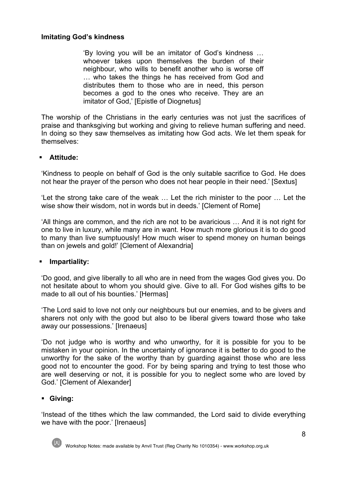## **Imitating God's kindness**

'By loving you will be an imitator of God's kindness … whoever takes upon themselves the burden of their neighbour, who wills to benefit another who is worse off … who takes the things he has received from God and distributes them to those who are in need, this person becomes a god to the ones who receive. They are an imitator of God,' [Epistle of Diognetus]

The worship of the Christians in the early centuries was not just the sacrifices of praise and thanksgiving but working and giving to relieve human suffering and need. In doing so they saw themselves as imitating how God acts. We let them speak for themselves:

## § **Attitude:**

'Kindness to people on behalf of God is the only suitable sacrifice to God. He does not hear the prayer of the person who does not hear people in their need.' [Sextus]

'Let the strong take care of the weak … Let the rich minister to the poor … Let the wise show their wisdom, not in words but in deeds.' [Clement of Rome]

'All things are common, and the rich are not to be avaricious … And it is not right for one to live in luxury, while many are in want. How much more glorious it is to do good to many than live sumptuously! How much wiser to spend money on human beings than on jewels and gold!' [Clement of Alexandria]

#### § **Impartiality:**

'Do good, and give liberally to all who are in need from the wages God gives you. Do not hesitate about to whom you should give. Give to all. For God wishes gifts to be made to all out of his bounties.' [Hermas]

'The Lord said to love not only our neighbours but our enemies, and to be givers and sharers not only with the good but also to be liberal givers toward those who take away our possessions.' [Irenaeus]

'Do not judge who is worthy and who unworthy, for it is possible for you to be mistaken in your opinion. In the uncertainty of ignorance it is better to do good to the unworthy for the sake of the worthy than by guarding against those who are less good not to encounter the good. For by being sparing and trying to test those who are well deserving or not, it is possible for you to neglect some who are loved by God.' [Clement of Alexander]

#### § **Giving:**

'Instead of the tithes which the law commanded, the Lord said to divide everything we have with the poor.' [Irenaeus]

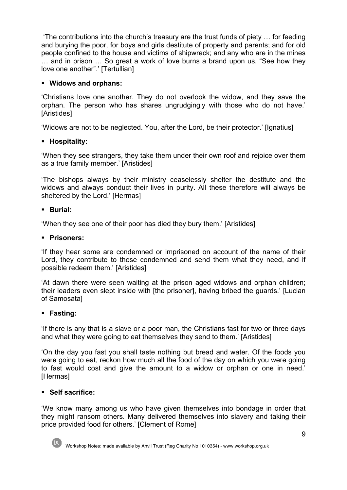'The contributions into the church's treasury are the trust funds of piety … for feeding and burying the poor, for boys and girls destitute of property and parents; and for old people confined to the house and victims of shipwreck; and any who are in the mines … and in prison … So great a work of love burns a brand upon us. "See how they love one another".' [Tertullian]

## § **Widows and orphans:**

'Christians love one another. They do not overlook the widow, and they save the orphan. The person who has shares ungrudgingly with those who do not have.' [Aristides]

'Widows are not to be neglected. You, after the Lord, be their protector.' [Ignatius]

## § **Hospitality:**

'When they see strangers, they take them under their own roof and rejoice over them as a true family member.' [Aristides]

'The bishops always by their ministry ceaselessly shelter the destitute and the widows and always conduct their lives in purity. All these therefore will always be sheltered by the Lord.' [Hermas]

#### § **Burial:**

'When they see one of their poor has died they bury them.' [Aristides]

## § **Prisoners:**

'If they hear some are condemned or imprisoned on account of the name of their Lord, they contribute to those condemned and send them what they need, and if possible redeem them.' [Aristides]

'At dawn there were seen waiting at the prison aged widows and orphan children; their leaders even slept inside with [the prisoner], having bribed the guards.' [Lucian of Samosata]

#### § **Fasting:**

'If there is any that is a slave or a poor man, the Christians fast for two or three days and what they were going to eat themselves they send to them.' [Aristides]

'On the day you fast you shall taste nothing but bread and water. Of the foods you were going to eat, reckon how much all the food of the day on which you were going to fast would cost and give the amount to a widow or orphan or one in need.' [Hermas]

## § **Self sacrifice:**

'We know many among us who have given themselves into bondage in order that they might ransom others. Many delivered themselves into slavery and taking their price provided food for others.' [Clement of Rome]

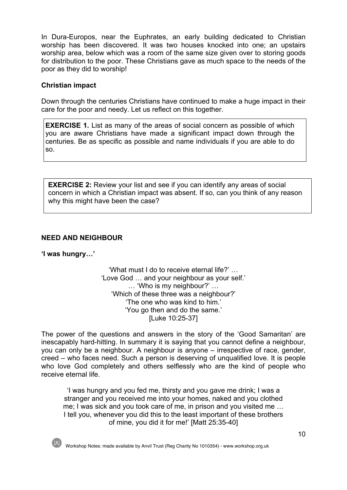In Dura-Europos, near the Euphrates, an early building dedicated to Christian worship has been discovered. It was two houses knocked into one; an upstairs worship area, below which was a room of the same size given over to storing goods for distribution to the poor. These Christians gave as much space to the needs of the poor as they did to worship!

## **Christian impact**

Down through the centuries Christians have continued to make a huge impact in their care for the poor and needy. Let us reflect on this together.

**EXERCISE 1.** List as many of the areas of social concern as possible of which you are aware Christians have made a significant impact down through the centuries. Be as specific as possible and name individuals if you are able to do so.

**EXERCISE 2:** Review your list and see if you can identify any areas of social concern in which a Christian impact was absent. If so, can you think of any reason why this might have been the case?

## **NEED AND NEIGHBOUR**

**'I was hungry…'**

'What must I do to receive eternal life?' … 'Love God … and your neighbour as your self.' … 'Who is my neighbour?' … 'Which of these three was a neighbour?' 'The one who was kind to him.' 'You go then and do the same.' [Luke 10:25-37]

The power of the questions and answers in the story of the 'Good Samaritan' are inescapably hard-hitting. In summary it is saying that you cannot define a neighbour, you can only be a neighbour. A neighbour is anyone – irrespective of race, gender, creed – who faces need. Such a person is deserving of unqualified love. It is people who love God completely and others selflessly who are the kind of people who receive eternal life.

'I was hungry and you fed me, thirsty and you gave me drink; I was a stranger and you received me into your homes, naked and you clothed me; I was sick and you took care of me, in prison and you visited me … I tell you, whenever you did this to the least important of these brothers of mine, you did it for me!' [Matt 25:35-40]

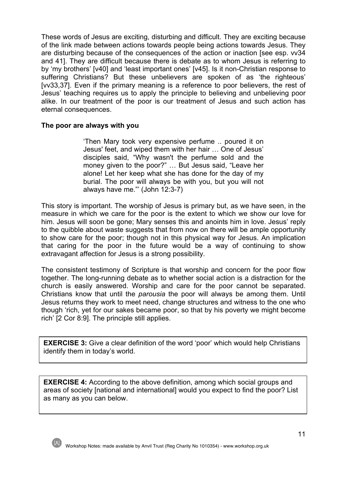These words of Jesus are exciting, disturbing and difficult. They are exciting because of the link made between actions towards people being actions towards Jesus. They are disturbing because of the consequences of the action or inaction [see esp. vv34 and 41]. They are difficult because there is debate as to whom Jesus is referring to by 'my brothers' [v40] and 'least important ones' [v45]. Is it non-Christian response to suffering Christians? But these unbelievers are spoken of as 'the righteous' [vv33,37]. Even if the primary meaning is a reference to poor believers, the rest of Jesus' teaching requires us to apply the principle to believing and unbelieving poor alike. In our treatment of the poor is our treatment of Jesus and such action has eternal consequences.

#### **The poor are always with you**

'Then Mary took very expensive perfume .. poured it on Jesus' feet, and wiped them with her hair … One of Jesus' disciples said, "Why wasn't the perfume sold and the money given to the poor?" … But Jesus said, "Leave her alone! Let her keep what she has done for the day of my burial. The poor will always be with you, but you will not always have me."' (John 12:3-7)

This story is important. The worship of Jesus is primary but, as we have seen, in the measure in which we care for the poor is the extent to which we show our love for him. Jesus will soon be gone; Mary senses this and anoints him in love. Jesus' reply to the quibble about waste suggests that from now on there will be ample opportunity to show care for the poor; though not in this physical way for Jesus. An implication that caring for the poor in the future would be a way of continuing to show extravagant affection for Jesus is a strong possibility.

The consistent testimony of Scripture is that worship and concern for the poor flow together. The long-running debate as to whether social action is a distraction for the church is easily answered. Worship and care for the poor cannot be separated. Christians know that until the *parousia* the poor will always be among them. Until Jesus returns they work to meet need, change structures and witness to the one who though 'rich, yet for our sakes became poor, so that by his poverty we might become rich' [2 Cor 8:9]. The principle still applies.

**EXERCISE 3:** Give a clear definition of the word 'poor' which would help Christians identify them in today's world.

**EXERCISE 4:** According to the above definition, among which social groups and areas of society [national and international] would you expect to find the poor? List as many as you can below.



**:**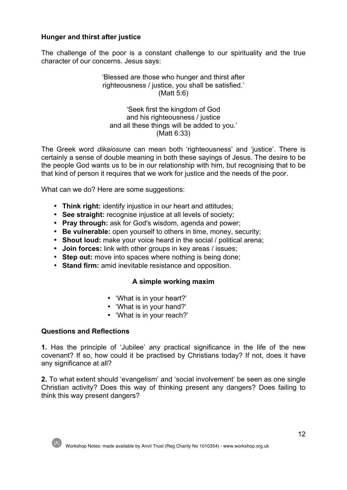## **Hunger and thirst after justice**

The challenge of the poor is a constant challenge to our spirituality and the true character of our concerns. Jesus says:

### 'Blessed are those who hunger and thirst after righteousness / justice, you shall be satisfied.' (Matt 5:6)

'Seek first the kingdom of God and his righteousness / justice and all these things will be added to you.' (Matt 6:33)

The Greek word *dikaiosune* can mean both 'righteousness' and 'justice'. There is certainly a sense of double meaning in both these sayings of Jesus. The desire to be the people God wants us to be in our relationship with him, but recognising that to be that kind of person it requires that we work for justice and the needs of the poor.

What can we do? Here are some suggestions:

- **Think right:** identify injustice in our heart and attitudes;
- **See straight:** recognise injustice at all levels of society;
- **Pray through:** ask for God's wisdom, agenda and power;
- **Be vulnerable:** open yourself to others in time, money, security;
- **Shout loud:** make your voice heard in the social / political arena;
- **Join forces:** link with other groups in key areas / issues;
- **Step out:** move into spaces where nothing is being done;
- **Stand firm:** amid inevitable resistance and opposition.

#### **A simple working maxim**

- 'What is in your heart?'
- 'What is in your hand?'
- 'What is in your reach?'

#### **Questions and Reflections**

**1.** Has the principle of 'Jubilee' any practical significance in the life of the new covenant? If so, how could it be practised by Christians today? If not, does it have any significance at all?

**2.** To what extent should 'evangelism' and 'social involvement' be seen as one single Christian activity? Does this way of thinking present any dangers? Does failing to think this way present dangers?